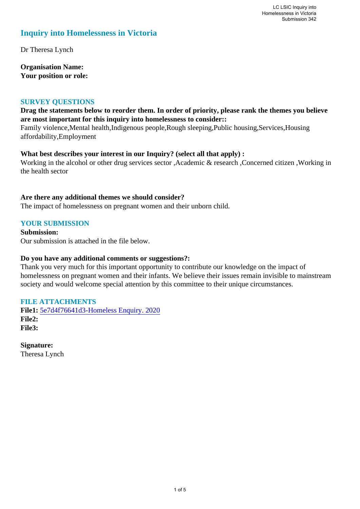# **Inquiry into Homelessness in Victoria**

Dr Theresa Lynch

**Organisation Name: Your position or role:** 

## **SURVEY QUESTIONS**

# **Drag the statements below to reorder them. In order of priority, please rank the themes you believe are most important for this inquiry into homelessness to consider::**

Family violence,Mental health,Indigenous people,Rough sleeping,Public housing,Services,Housing affordability,Employment

## **What best describes your interest in our Inquiry? (select all that apply) :**

Working in the alcohol or other drug services sector ,Academic & research ,Concerned citizen ,Working in the health sector

## **Are there any additional themes we should consider?**

The impact of homelessness on pregnant women and their unborn child.

# **YOUR SUBMISSION**

**Submission:**  Our submission is attached in the file below.

#### **Do you have any additional comments or suggestions?:**

Thank you very much for this important opportunity to contribute our knowledge on the impact of homelessness on pregnant women and their infants. We believe their issues remain invisible to mainstream society and would welcome special attention by this committee to their unique circumstances.

# **FILE ATTACHMENTS**

**File1:** [5e7d4f76641d3-Homeless Enquiry. 2020](https://www.parliament.vic.gov.au/component/rsform/submission-view-file/bdfd5cd3e23a95990582bf1c6a8978f9/3af5fabbc1a8fe22d59b03c262cd931a?Itemid=527) **File2: File3:** 

**Signature:** Theresa Lynch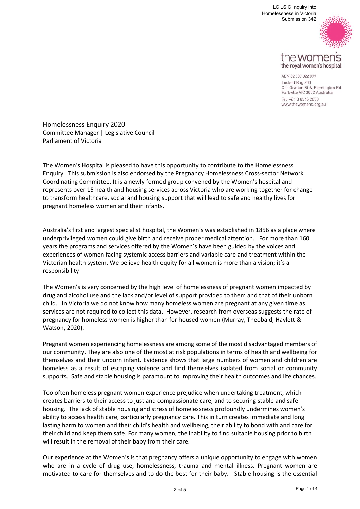

the royal women's hospital

ABN 62 787 822 077 Locked Bag 300 Cnr Grattan St & Flemington Rd Parkville VIC 3052 Australia Tel +61 3 8345 2000 www.thewomens.org.au

Homelessness Enquiry 2020 Committee Manager | Legislative Council Parliament of Victoria |

The Women's Hospital is pleased to have this opportunity to contribute to the Homelessness Enquiry. This submission is also endorsed by the Pregnancy Homelessness Cross‐sector Network Coordinating Committee. It is a newly formed group convened by the Women's hospital and represents over 15 health and housing services across Victoria who are working together for change to transform healthcare, social and housing support that will lead to safe and healthy lives for pregnant homeless women and their infants.

Australia's first and largest specialist hospital, the Women's was established in 1856 as a place where underprivileged women could give birth and receive proper medical attention. For more than 160 years the programs and services offered by the Women's have been guided by the voices and experiences of women facing systemic access barriers and variable care and treatment within the Victorian health system. We believe health equity for all women is more than a vision; it's a responsibility

The Women's is very concerned by the high level of homelessness of pregnant women impacted by drug and alcohol use and the lack and/or level of support provided to them and that of their unborn child. In Victoria we do not know how many homeless women are pregnant at any given time as services are not required to collect this data. However, research from overseas suggests the rate of pregnancy for homeless women is higher than for housed women (Murray, Theobald, Haylett & Watson, 2020).

Pregnant women experiencing homelessness are among some of the most disadvantaged members of our community. They are also one of the most at risk populations in terms of health and wellbeing for themselves and their unborn infant. Evidence shows that large numbers of women and children are homeless as a result of escaping violence and find themselves isolated from social or community supports. Safe and stable housing is paramount to improving their health outcomes and life chances.

Too often homeless pregnant women experience prejudice when undertaking treatment, which creates barriers to their access to just and compassionate care, and to securing stable and safe housing. The lack of stable housing and stress of homelessness profoundly undermines women's ability to access health care, particularly pregnancy care. This in turn creates immediate and long lasting harm to women and their child's health and wellbeing, their ability to bond with and care for their child and keep them safe. For many women, the inability to find suitable housing prior to birth will result in the removal of their baby from their care.

Our experience at the Women's is that pregnancy offers a unique opportunity to engage with women who are in a cycle of drug use, homelessness, trauma and mental illness. Pregnant women are motivated to care for themselves and to do the best for their baby. Stable housing is the essential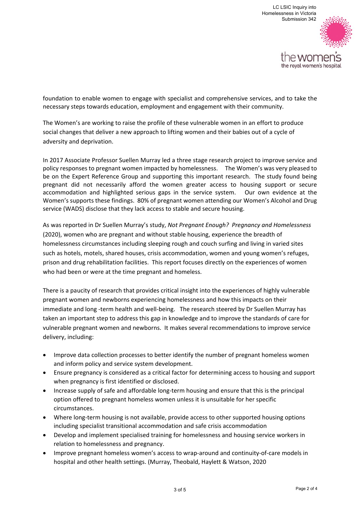

foundation to enable women to engage with specialist and comprehensive services, and to take the necessary steps towards education, employment and engagement with their community.

The Women's are working to raise the profile of these vulnerable women in an effort to produce social changes that deliver a new approach to lifting women and their babies out of a cycle of adversity and deprivation.

In 2017 Associate Professor Suellen Murray led a three stage research project to improve service and policy responses to pregnant women impacted by homelessness. The Women's was very pleased to be on the Expert Reference Group and supporting this important research. The study found being pregnant did not necessarily afford the women greater access to housing support or secure accommodation and highlighted serious gaps in the service system. Our own evidence at the Women's supports these findings. 80% of pregnant women attending our Women's Alcohol and Drug service (WADS) disclose that they lack access to stable and secure housing.

As was reported in Dr Suellen Murray's study, *Not Pregnant Enough? Pregnancy and Homelessness* (2020), women who are pregnant and without stable housing, experience the breadth of homelessness circumstances including sleeping rough and couch surfing and living in varied sites such as hotels, motels, shared houses, crisis accommodation, women and young women's refuges, prison and drug rehabilitation facilities. This report focuses directly on the experiences of women who had been or were at the time pregnant and homeless.

There is a paucity of research that provides critical insight into the experiences of highly vulnerable pregnant women and newborns experiencing homelessness and how this impacts on their immediate and long -term health and well-being. The research steered by Dr Suellen Murray has taken an important step to address this gap in knowledge and to improve the standards of care for vulnerable pregnant women and newborns. It makes several recommendations to improve service delivery, including:

- Improve data collection processes to better identify the number of pregnant homeless women and inform policy and service system development.
- Ensure pregnancy is considered as a critical factor for determining access to housing and support when pregnancy is first identified or disclosed.
- Increase supply of safe and affordable long-term housing and ensure that this is the principal option offered to pregnant homeless women unless it is unsuitable for her specific circumstances.
- Where long-term housing is not available, provide access to other supported housing options including specialist transitional accommodation and safe crisis accommodation
- Develop and implement specialised training for homelessness and housing service workers in relation to homelessness and pregnancy.
- Improve pregnant homeless women's access to wrap-around and continuity-of-care models in hospital and other health settings. (Murray, Theobald, Haylett & Watson, 2020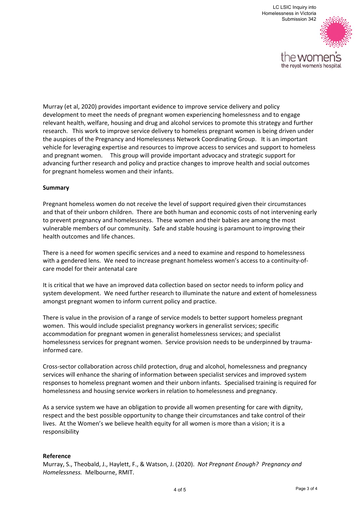

Murray (et al, 2020) provides important evidence to improve service delivery and policy development to meet the needs of pregnant women experiencing homelessness and to engage relevant health, welfare, housing and drug and alcohol services to promote this strategy and further research. This work to improve service delivery to homeless pregnant women is being driven under the auspices of the Pregnancy and Homelessness Network Coordinating Group. It is an important vehicle for leveraging expertise and resources to improve access to services and support to homeless and pregnant women. This group will provide important advocacy and strategic support for advancing further research and policy and practice changes to improve health and social outcomes for pregnant homeless women and their infants.

#### **Summary**

Pregnant homeless women do not receive the level of support required given their circumstances and that of their unborn children. There are both human and economic costs of not intervening early to prevent pregnancy and homelessness. These women and their babies are among the most vulnerable members of our community. Safe and stable housing is paramount to improving their health outcomes and life chances.

There is a need for women specific services and a need to examine and respond to homelessness with a gendered lens. We need to increase pregnant homeless women's access to a continuity-ofcare model for their antenatal care

It is critical that we have an improved data collection based on sector needs to inform policy and system development. We need further research to illuminate the nature and extent of homelessness amongst pregnant women to inform current policy and practice.

There is value in the provision of a range of service models to better support homeless pregnant women. This would include specialist pregnancy workers in generalist services; specific accommodation for pregnant women in generalist homelessness services; and specialist homelessness services for pregnant women. Service provision needs to be underpinned by traumainformed care.

Cross‐sector collaboration across child protection, drug and alcohol, homelessness and pregnancy services will enhance the sharing of information between specialist services and improved system responses to homeless pregnant women and their unborn infants. Specialised training is required for homelessness and housing service workers in relation to homelessness and pregnancy.

As a service system we have an obligation to provide all women presenting for care with dignity, respect and the best possible opportunity to change their circumstances and take control of their lives. At the Women's we believe health equity for all women is more than a vision; it is a responsibility

#### **Reference**

Murray, S., Theobald, J., Haylett, F., & Watson, J. (2020). *Not Pregnant Enough? Pregnancy and Homelessness.* Melbourne, RMIT.